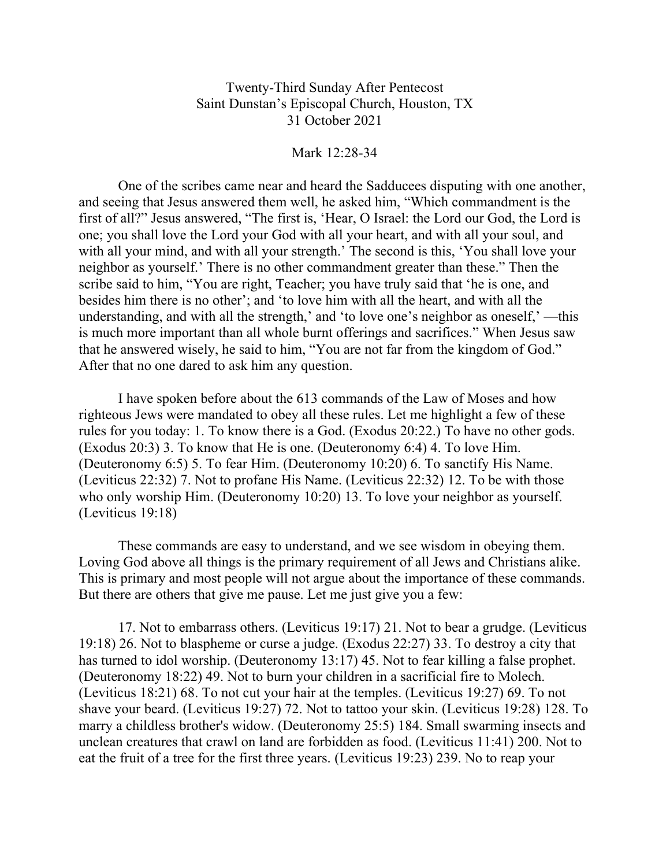Twenty-Third Sunday After Pentecost Saint Dunstan's Episcopal Church, Houston, TX 31 October 2021

Mark 12:28-34

One of the scribes came near and heard the Sadducees disputing with one another, and seeing that Jesus answered them well, he asked him, "Which commandment is the first of all?" Jesus answered, "The first is, 'Hear, O Israel: the Lord our God, the Lord is one; you shall love the Lord your God with all your heart, and with all your soul, and with all your mind, and with all your strength.' The second is this, 'You shall love your neighbor as yourself.' There is no other commandment greater than these." Then the scribe said to him, "You are right, Teacher; you have truly said that 'he is one, and besides him there is no other'; and 'to love him with all the heart, and with all the understanding, and with all the strength,' and 'to love one's neighbor as oneself,' —this is much more important than all whole burnt offerings and sacrifices." When Jesus saw that he answered wisely, he said to him, "You are not far from the kingdom of God." After that no one dared to ask him any question.

I have spoken before about the 613 commands of the Law of Moses and how righteous Jews were mandated to obey all these rules. Let me highlight a few of these rules for you today: 1. To know there is a God. (Exodus 20:22.) To have no other gods. (Exodus 20:3) 3. To know that He is one. (Deuteronomy 6:4) 4. To love Him. (Deuteronomy 6:5) 5. To fear Him. (Deuteronomy 10:20) 6. To sanctify His Name. (Leviticus 22:32) 7. Not to profane His Name. (Leviticus 22:32) 12. To be with those who only worship Him. (Deuteronomy 10:20) 13. To love your neighbor as yourself. (Leviticus 19:18)

These commands are easy to understand, and we see wisdom in obeying them. Loving God above all things is the primary requirement of all Jews and Christians alike. This is primary and most people will not argue about the importance of these commands. But there are others that give me pause. Let me just give you a few:

17. Not to embarrass others. (Leviticus 19:17) 21. Not to bear a grudge. (Leviticus 19:18) 26. Not to blaspheme or curse a judge. (Exodus 22:27) 33. To destroy a city that has turned to idol worship. (Deuteronomy 13:17) 45. Not to fear killing a false prophet. (Deuteronomy 18:22) 49. Not to burn your children in a sacrificial fire to Molech. (Leviticus 18:21) 68. To not cut your hair at the temples. (Leviticus 19:27) 69. To not shave your beard. (Leviticus 19:27) 72. Not to tattoo your skin. (Leviticus 19:28) 128. To marry a childless brother's widow. (Deuteronomy 25:5) 184. Small swarming insects and unclean creatures that crawl on land are forbidden as food. (Leviticus 11:41) 200. Not to eat the fruit of a tree for the first three years. (Leviticus 19:23) 239. No to reap your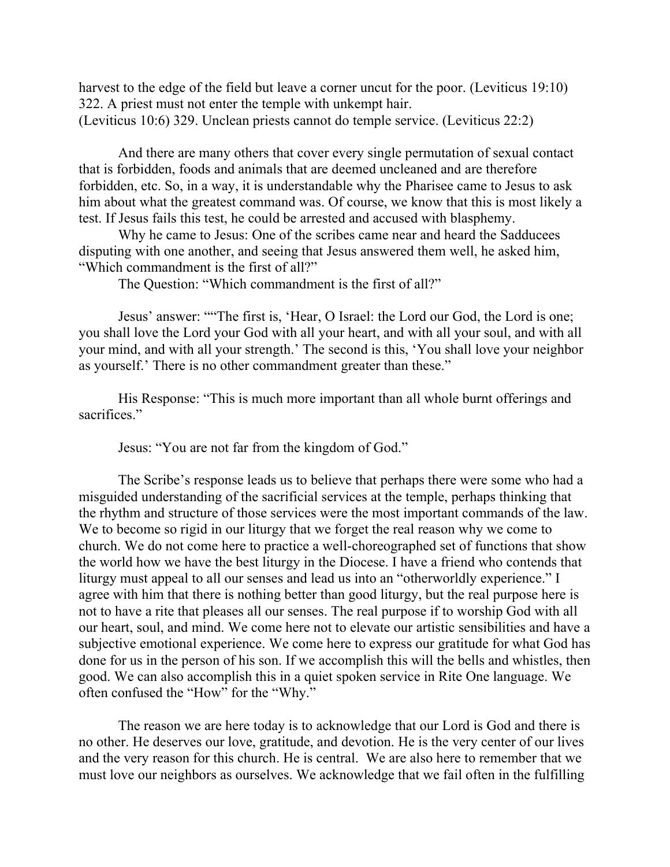harvest to the edge of the field but leave a corner uncut for the poor. (Leviticus 19:10) 322. A priest must not enter the temple with unkempt hair. (Leviticus 10:6) 329. Unclean priests cannot do temple service. (Leviticus 22:2)

And there are many others that cover every single permutation of sexual contact that is forbidden, foods and animals that are deemed uncleaned and are therefore forbidden, etc. So, in a way, it is understandable why the Pharisee came to Jesus to ask him about what the greatest command was. Of course, we know that this is most likely a test. If Jesus fails this test, he could be arrested and accused with blasphemy.

Why he came to Jesus: One of the scribes came near and heard the Sadducees disputing with one another, and seeing that Jesus answered them well, he asked him, "Which commandment is the first of all?"

The Question: "Which commandment is the first of all?"

Jesus' answer: ""The first is, 'Hear, O Israel: the Lord our God, the Lord is one; you shall love the Lord your God with all your heart, and with all your soul, and with all your mind, and with all your strength.' The second is this, 'You shall love your neighbor as yourself.' There is no other commandment greater than these."

His Response: "This is much more important than all whole burnt offerings and sacrifices."

Jesus: "You are not far from the kingdom of God."

The Scribe's response leads us to believe that perhaps there were some who had a misguided understanding of the sacrificial services at the temple, perhaps thinking that the rhythm and structure of those services were the most important commands of the law. We to become so rigid in our liturgy that we forget the real reason why we come to church. We do not come here to practice a well-choreographed set of functions that show the world how we have the best liturgy in the Diocese. I have a friend who contends that liturgy must appeal to all our senses and lead us into an "otherworldly experience." I agree with him that there is nothing better than good liturgy, but the real purpose here is not to have a rite that pleases all our senses. The real purpose if to worship God with all our heart, soul, and mind. We come here not to elevate our artistic sensibilities and have a subjective emotional experience. We come here to express our gratitude for what God has done for us in the person of his son. If we accomplish this will the bells and whistles, then good. We can also accomplish this in a quiet spoken service in Rite One language. We often confused the "How" for the "Why."

The reason we are here today is to acknowledge that our Lord is God and there is no other. He deserves our love, gratitude, and devotion. He is the very center of our lives and the very reason for this church. He is central. We are also here to remember that we must love our neighbors as ourselves. We acknowledge that we fail often in the fulfilling